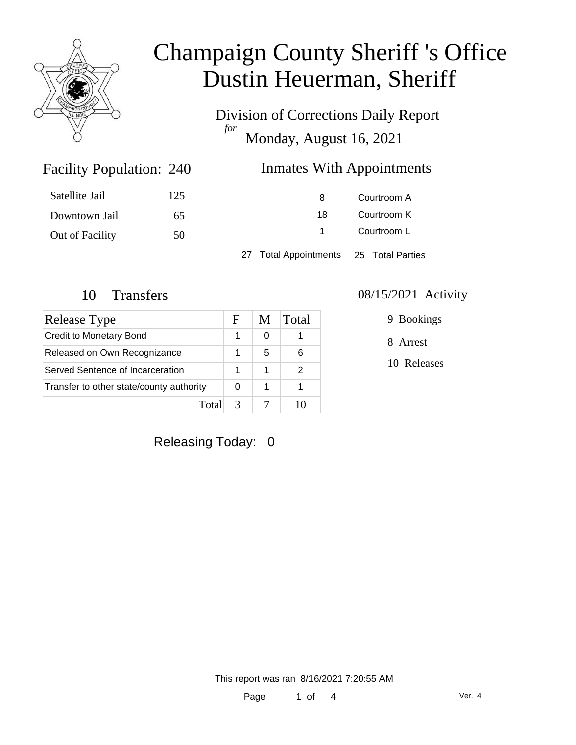

Division of Corrections Daily Report *for* Monday, August 16, 2021

### Inmates With Appointments

| Satellite Jail  | 125 | 8                                      | Courtroom A |  |
|-----------------|-----|----------------------------------------|-------------|--|
| Downtown Jail   | 65  | 18.                                    | Courtroom K |  |
| Out of Facility | 50  |                                        | Courtroom L |  |
|                 |     | 27 Total Appointments 25 Total Parties |             |  |

Facility Population: 240

| <b>Release Type</b>                      |   | M | Total |
|------------------------------------------|---|---|-------|
| <b>Credit to Monetary Bond</b>           |   | ∩ |       |
| Released on Own Recognizance             |   | 5 | 6     |
| Served Sentence of Incarceration         |   | 1 |       |
| Transfer to other state/county authority |   | 1 |       |
| Total                                    | 3 |   |       |

#### 10 Transfers 08/15/2021 Activity

9 Bookings

8 Arrest

10 Releases

Releasing Today: 0

This report was ran 8/16/2021 7:20:55 AM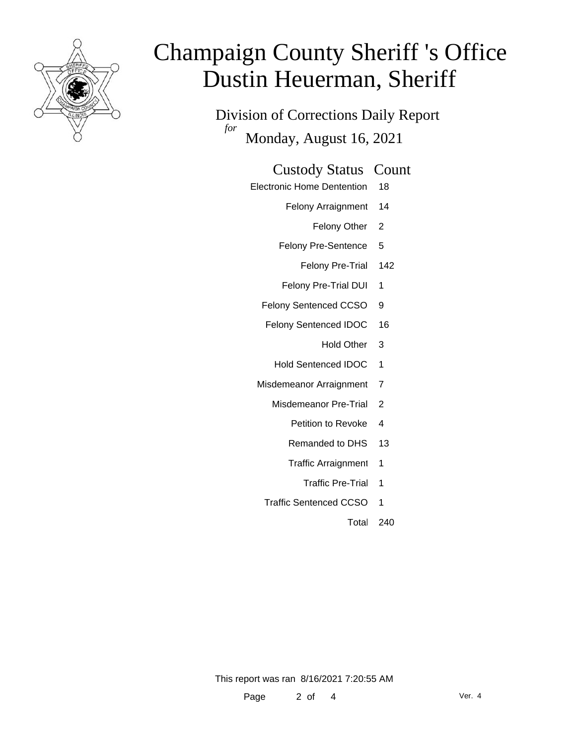

Division of Corrections Daily Report *for* Monday, August 16, 2021

#### Custody Status Count

- Electronic Home Dentention 18
	- Felony Arraignment 14
		- Felony Other 2
	- Felony Pre-Sentence 5
		- Felony Pre-Trial 142
	- Felony Pre-Trial DUI 1
	- Felony Sentenced CCSO 9
	- Felony Sentenced IDOC 16
		- Hold Other 3
		- Hold Sentenced IDOC 1
	- Misdemeanor Arraignment 7
		- Misdemeanor Pre-Trial 2
			- Petition to Revoke 4
			- Remanded to DHS 13
			- Traffic Arraignment 1
				- Traffic Pre-Trial 1
		- Traffic Sentenced CCSO 1
			- Total 240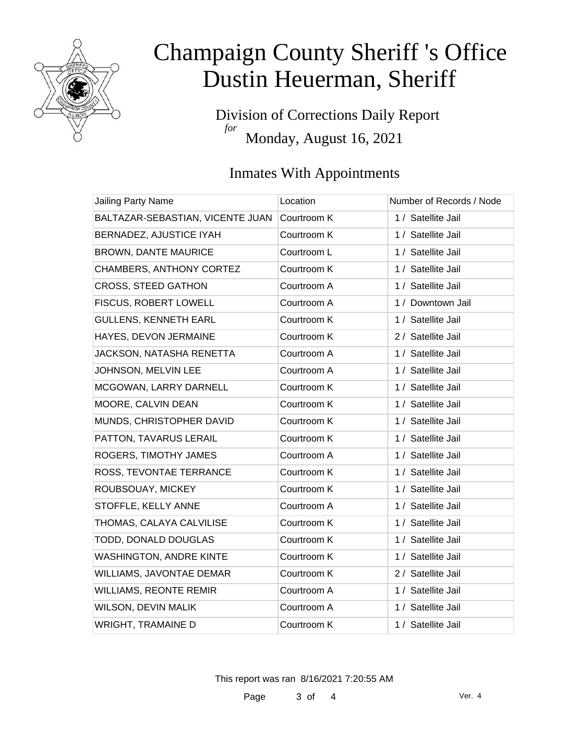

Division of Corrections Daily Report *for* Monday, August 16, 2021

### Inmates With Appointments

| Jailing Party Name               | Location    | Number of Records / Node |
|----------------------------------|-------------|--------------------------|
| BALTAZAR-SEBASTIAN, VICENTE JUAN | Courtroom K | 1 / Satellite Jail       |
| BERNADEZ, AJUSTICE IYAH          | Courtroom K | 1 / Satellite Jail       |
| <b>BROWN, DANTE MAURICE</b>      | Courtroom L | 1 / Satellite Jail       |
| CHAMBERS, ANTHONY CORTEZ         | Courtroom K | 1 / Satellite Jail       |
| CROSS, STEED GATHON              | Courtroom A | 1 / Satellite Jail       |
| FISCUS, ROBERT LOWELL            | Courtroom A | 1 / Downtown Jail        |
| <b>GULLENS, KENNETH EARL</b>     | Courtroom K | 1 / Satellite Jail       |
| HAYES, DEVON JERMAINE            | Courtroom K | 2 / Satellite Jail       |
| JACKSON, NATASHA RENETTA         | Courtroom A | 1 / Satellite Jail       |
| JOHNSON, MELVIN LEE              | Courtroom A | 1 / Satellite Jail       |
| MCGOWAN, LARRY DARNELL           | Courtroom K | 1 / Satellite Jail       |
| MOORE, CALVIN DEAN               | Courtroom K | 1 / Satellite Jail       |
| MUNDS, CHRISTOPHER DAVID         | Courtroom K | 1 / Satellite Jail       |
| PATTON, TAVARUS LERAIL           | Courtroom K | 1 / Satellite Jail       |
| ROGERS, TIMOTHY JAMES            | Courtroom A | 1 / Satellite Jail       |
| ROSS, TEVONTAE TERRANCE          | Courtroom K | 1 / Satellite Jail       |
| ROUBSOUAY, MICKEY                | Courtroom K | 1 / Satellite Jail       |
| STOFFLE, KELLY ANNE              | Courtroom A | 1 / Satellite Jail       |
| THOMAS, CALAYA CALVILISE         | Courtroom K | 1 / Satellite Jail       |
| TODD, DONALD DOUGLAS             | Courtroom K | 1 / Satellite Jail       |
| WASHINGTON, ANDRE KINTE          | Courtroom K | 1 / Satellite Jail       |
| WILLIAMS, JAVONTAE DEMAR         | Courtroom K | 2 / Satellite Jail       |
| <b>WILLIAMS, REONTE REMIR</b>    | Courtroom A | 1 / Satellite Jail       |
| WILSON, DEVIN MALIK              | Courtroom A | 1 / Satellite Jail       |
| <b>WRIGHT, TRAMAINE D</b>        | Courtroom K | 1 / Satellite Jail       |

This report was ran 8/16/2021 7:20:55 AM